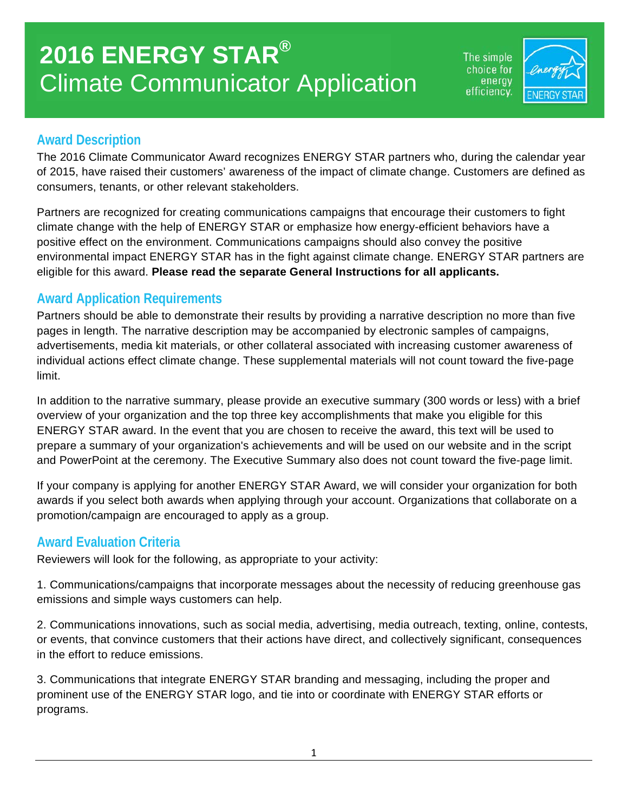The simple choice for energy efficiency.



#### **Award Description**

The 2016 Climate Communicator Award recognizes ENERGY STAR partners who, during the calendar year of 2015, have raised their customers' awareness of the impact of climate change. Customers are defined as consumers, tenants, or other relevant stakeholders.

Partners are recognized for creating communications campaigns that encourage their customers to fight climate change with the help of ENERGY STAR or emphasize how energy-efficient behaviors have a positive effect on the environment. Communications campaigns should also convey the positive environmental impact ENERGY STAR has in the fight against climate change. ENERGY STAR partners are eligible for this award. **Please read the separate General Instructions for all applicants.** 

## **Award Application Requirements**

Partners should be able to demonstrate their results by providing a narrative description no more than five pages in length. The narrative description may be accompanied by electronic samples of campaigns, advertisements, media kit materials, or other collateral associated with increasing customer awareness of individual actions effect climate change. These supplemental materials will not count toward the five-page limit.

In addition to the narrative summary, please provide an executive summary (300 words or less) with a brief overview of your organization and the top three key accomplishments that make you eligible for this ENERGY STAR award. In the event that you are chosen to receive the award, this text will be used to prepare a summary of your organization's achievements and will be used on our website and in the script and PowerPoint at the ceremony. The Executive Summary also does not count toward the five-page limit.

If your company is applying for another ENERGY STAR Award, we will consider your organization for both awards if you select both awards when applying through your account. Organizations that collaborate on a promotion/campaign are encouraged to apply as a group.

### **Award Evaluation Criteria**

Reviewers will look for the following, as appropriate to your activity:

1. Communications/campaigns that incorporate messages about the necessity of reducing greenhouse gas emissions and simple ways customers can help.

2. Communications innovations, such as social media, advertising, media outreach, texting, online, contests, or events, that convince customers that their actions have direct, and collectively significant, consequences in the effort to reduce emissions.

3. Communications that integrate ENERGY STAR branding and messaging, including the proper and prominent use of the ENERGY STAR logo, and tie into or coordinate with ENERGY STAR efforts or programs.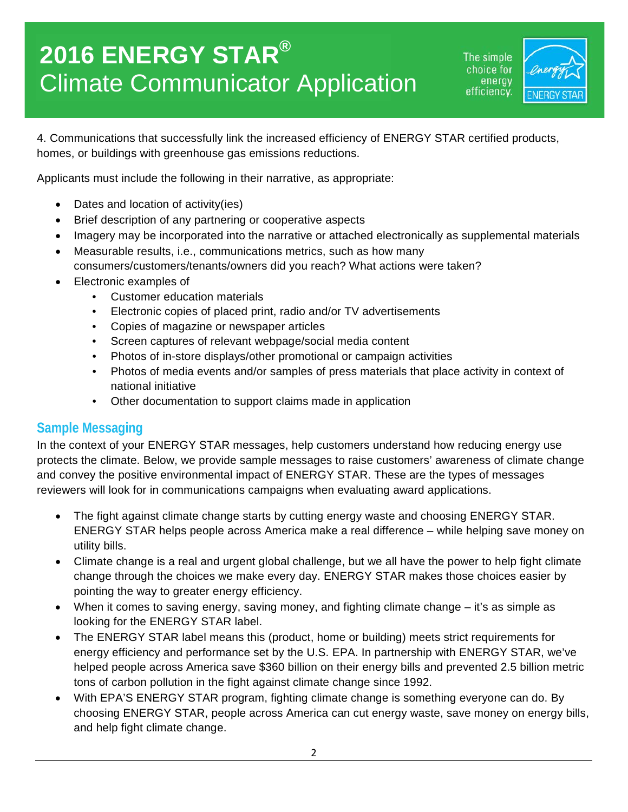# **2016 ENERGY STAR®** Climate Communicator Application

The simple hoice for: energy efficiency.



4. Communications that successfully link the increased efficiency of ENERGY STAR certified products, homes, or buildings with greenhouse gas emissions reductions.

Applicants must include the following in their narrative, as appropriate:

- Dates and location of activity(ies)
- Brief description of any partnering or cooperative aspects
- Imagery may be incorporated into the narrative or attached electronically as supplemental materials
- Measurable results, i.e., communications metrics, such as how many consumers/customers/tenants/owners did you reach? What actions were taken?
- Electronic examples of
	- Customer education materials
	- Electronic copies of placed print, radio and/or TV advertisements
	- Copies of magazine or newspaper articles
	- Screen captures of relevant webpage/social media content
	- Photos of in-store displays/other promotional or campaign activities
	- Photos of media events and/or samples of press materials that place activity in context of national initiative
	- Other documentation to support claims made in application

#### **Sample Messaging**

In the context of your ENERGY STAR messages, help customers understand how reducing energy use protects the climate. Below, we provide sample messages to raise customers' awareness of climate change and convey the positive environmental impact of ENERGY STAR. These are the types of messages reviewers will look for in communications campaigns when evaluating award applications.

- The fight against climate change starts by cutting energy waste and choosing ENERGY STAR. ENERGY STAR helps people across America make a real difference – while helping save money on utility bills.
- Climate change is a real and urgent global challenge, but we all have the power to help fight climate change through the choices we make every day. ENERGY STAR makes those choices easier by pointing the way to greater energy efficiency.
- When it comes to saving energy, saving money, and fighting climate change it's as simple as looking for the ENERGY STAR label.
- The ENERGY STAR label means this (product, home or building) meets strict requirements for energy efficiency and performance set by the U.S. EPA. In partnership with ENERGY STAR, we've helped people across America save \$360 billion on their energy bills and prevented 2.5 billion metric tons of carbon pollution in the fight against climate change since 1992.
- With EPA'S ENERGY STAR program, fighting climate change is something everyone can do. By choosing ENERGY STAR, people across America can cut energy waste, save money on energy bills, and help fight climate change.